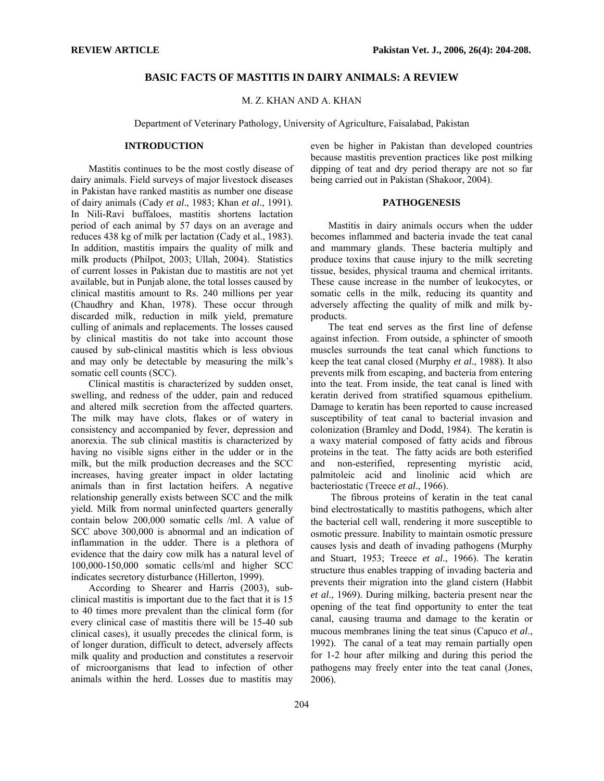# **BASIC FACTS OF MASTITIS IN DAIRY ANIMALS: A REVIEW**

## M. Z. KHAN AND A. KHAN

Department of Veterinary Pathology, University of Agriculture, Faisalabad, Pakistan

# **INTRODUCTION**

 Mastitis continues to be the most costly disease of dairy animals. Field surveys of major livestock diseases in Pakistan have ranked mastitis as number one disease of dairy animals (Cady *et al*., 1983; Khan *et al*., 1991). In Nili-Ravi buffaloes, mastitis shortens lactation period of each animal by 57 days on an average and reduces 438 kg of milk per lactation (Cady et al., 1983). In addition, mastitis impairs the quality of milk and milk products (Philpot, 2003; Ullah, 2004). Statistics of current losses in Pakistan due to mastitis are not yet available, but in Punjab alone, the total losses caused by clinical mastitis amount to Rs. 240 millions per year (Chaudhry and Khan, 1978). These occur through discarded milk, reduction in milk yield, premature culling of animals and replacements. The losses caused by clinical mastitis do not take into account those caused by sub-clinical mastitis which is less obvious and may only be detectable by measuring the milk's somatic cell counts (SCC).

Clinical mastitis is characterized by sudden onset, swelling, and redness of the udder, pain and reduced and altered milk secretion from the affected quarters. The milk may have clots, flakes or of watery in consistency and accompanied by fever, depression and anorexia. The sub clinical mastitis is characterized by having no visible signs either in the udder or in the milk, but the milk production decreases and the SCC increases, having greater impact in older lactating animals than in first lactation heifers. A negative relationship generally exists between SCC and the milk yield. Milk from normal uninfected quarters generally contain below 200,000 somatic cells /ml. A value of SCC above 300,000 is abnormal and an indication of inflammation in the udder. There is a plethora of evidence that the dairy cow milk has a natural level of 100,000-150,000 somatic cells/ml and higher SCC indicates secretory disturbance (Hillerton, 1999).

According to Shearer and Harris (2003), subclinical mastitis is important due to the fact that it is 15 to 40 times more prevalent than the clinical form (for every clinical case of mastitis there will be 15-40 sub clinical cases), it usually precedes the clinical form, is of longer duration, difficult to detect, adversely affects milk quality and production and constitutes a reservoir of microorganisms that lead to infection of other animals within the herd. Losses due to mastitis may even be higher in Pakistan than developed countries because mastitis prevention practices like post milking dipping of teat and dry period therapy are not so far being carried out in Pakistan (Shakoor, 2004).

#### **PATHOGENESIS**

Mastitis in dairy animals occurs when the udder becomes inflammed and bacteria invade the teat canal and mammary glands. These bacteria multiply and produce toxins that cause injury to the milk secreting tissue, besides, physical trauma and chemical irritants. These cause increase in the number of leukocytes, or somatic cells in the milk, reducing its quantity and adversely affecting the quality of milk and milk byproducts.

The teat end serves as the first line of defense against infection. From outside, a sphincter of smooth muscles surrounds the teat canal which functions to keep the teat canal closed (Murphy *et al*., 1988). It also prevents milk from escaping, and bacteria from entering into the teat. From inside, the teat canal is lined with keratin derived from stratified squamous epithelium. Damage to keratin has been reported to cause increased susceptibility of teat canal to bacterial invasion and colonization (Bramley and Dodd, 1984). The keratin is a waxy material composed of fatty acids and fibrous proteins in the teat. The fatty acids are both esterified and non-esterified, representing myristic acid, palmitoleic acid and linolinic acid which are bacteriostatic (Treece *et al*., 1966).

 The fibrous proteins of keratin in the teat canal bind electrostatically to mastitis pathogens, which alter the bacterial cell wall, rendering it more susceptible to osmotic pressure. Inability to maintain osmotic pressure causes lysis and death of invading pathogens (Murphy and Stuart, 1953; Treece *et al*., 1966). The keratin structure thus enables trapping of invading bacteria and prevents their migration into the gland cistern (Habbit *et al*., 1969). During milking, bacteria present near the opening of the teat find opportunity to enter the teat canal, causing trauma and damage to the keratin or mucous membranes lining the teat sinus (Capuco *et al*., 1992). The canal of a teat may remain partially open for 1-2 hour after milking and during this period the pathogens may freely enter into the teat canal (Jones, 2006).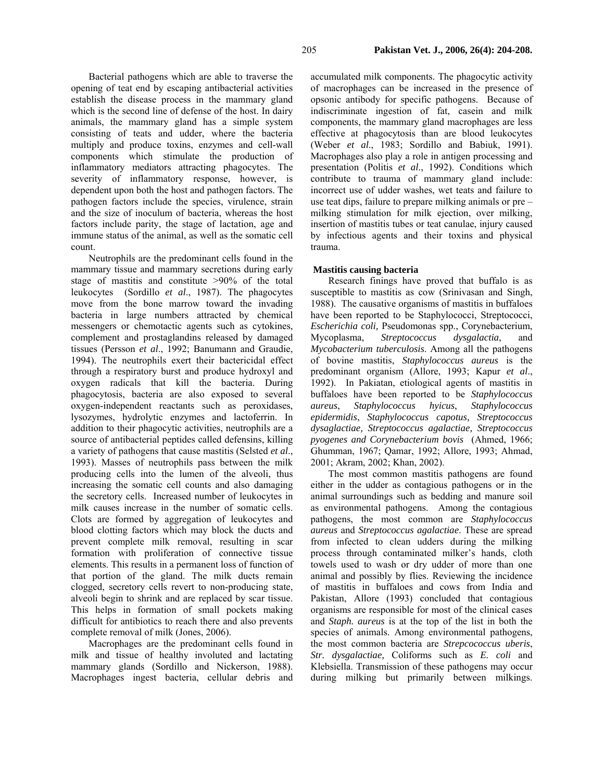Bacterial pathogens which are able to traverse the opening of teat end by escaping antibacterial activities establish the disease process in the mammary gland which is the second line of defense of the host. In dairy animals, the mammary gland has a simple system consisting of teats and udder, where the bacteria multiply and produce toxins, enzymes and cell-wall components which stimulate the production of inflammatory mediators attracting phagocytes. The severity of inflammatory response, however, is dependent upon both the host and pathogen factors. The pathogen factors include the species, virulence, strain and the size of inoculum of bacteria, whereas the host factors include parity, the stage of lactation, age and immune status of the animal, as well as the somatic cell count.

Neutrophils are the predominant cells found in the mammary tissue and mammary secretions during early stage of mastitis and constitute >90% of the total leukocytes (Sordillo *et al*., 1987). The phagocytes move from the bone marrow toward the invading bacteria in large numbers attracted by chemical messengers or chemotactic agents such as cytokines, complement and prostaglandins released by damaged tissues (Persson *et al*., 1992; Banumann and Graudie, 1994). The neutrophils exert their bactericidal effect through a respiratory burst and produce hydroxyl and oxygen radicals that kill the bacteria. During phagocytosis, bacteria are also exposed to several oxygen-independent reactants such as peroxidases, lysozymes, hydrolytic enzymes and lactoferrin. In addition to their phagocytic activities, neutrophils are a source of antibacterial peptides called defensins, killing a variety of pathogens that cause mastitis (Selsted *et al*., 1993). Masses of neutrophils pass between the milk producing cells into the lumen of the alveoli, thus increasing the somatic cell counts and also damaging the secretory cells. Increased number of leukocytes in milk causes increase in the number of somatic cells. Clots are formed by aggregation of leukocytes and blood clotting factors which may block the ducts and prevent complete milk removal, resulting in scar formation with proliferation of connective tissue elements. This results in a permanent loss of function of that portion of the gland. The milk ducts remain clogged, secretory cells revert to non-producing state, alveoli begin to shrink and are replaced by scar tissue. This helps in formation of small pockets making difficult for antibiotics to reach there and also prevents complete removal of milk (Jones, 2006).

Macrophages are the predominant cells found in milk and tissue of healthy involuted and lactating mammary glands (Sordillo and Nickerson, 1988). Macrophages ingest bacteria, cellular debris and

accumulated milk components. The phagocytic activity of macrophages can be increased in the presence of opsonic antibody for specific pathogens. Because of indiscriminate ingestion of fat, casein and milk components, the mammary gland macrophages are less effective at phagocytosis than are blood leukocytes (Weber *et al*., 1983; Sordillo and Babiuk, 1991). Macrophages also play a role in antigen processing and presentation (Politis *et al*., 1992). Conditions which contribute to trauma of mammary gland include: incorrect use of udder washes, wet teats and failure to use teat dips, failure to prepare milking animals or pre – milking stimulation for milk ejection, over milking, insertion of mastitis tubes or teat canulae, injury caused by infectious agents and their toxins and physical trauma.

# **Mastitis causing bacteria**

Research finings have proved that buffalo is as susceptible to mastitis as cow (Srinivasan and Singh, 1988). The causative organisms of mastitis in buffaloes have been reported to be Staphylococci, Streptococci, *Escherichia coli,* Pseudomonas spp., Corynebacterium, Mycoplasma, *Streptococcus dysgalactia*, and *Mycobacterium tuberculosis*. Among all the pathogens of bovine mastitis, *Staphylococcus aureus* is the predominant organism (Allore, 1993; Kapur *et al*., 1992). In Pakiatan, etiological agents of mastitis in buffaloes have been reported to be *Staphylococcus aureus*, *Staphylococcus hyicus*, *Staphylococcus epidermidis*, *Staphylococcus capotus, Streptococcus dysaglactiae, Streptococcus agalactiae, Streptococcus pyogenes and Corynebacterium bovis* (Ahmed, 1966; Ghumman, 1967; Qamar, 1992; Allore, 1993; Ahmad, 2001; Akram, 2002; Khan, 2002).

The most common mastitis pathogens are found either in the udder as contagious pathogens or in the animal surroundings such as bedding and manure soil as environmental pathogens. Among the contagious pathogens, the most common are *Staphylococcus aureus* and *Streptococcus agalactiae*. These are spread from infected to clean udders during the milking process through contaminated milker's hands, cloth towels used to wash or dry udder of more than one animal and possibly by flies. Reviewing the incidence of mastitis in buffaloes and cows from India and Pakistan, Allore (1993) concluded that contagious organisms are responsible for most of the clinical cases and *Staph. aureus* is at the top of the list in both the species of animals. Among environmental pathogens, the most common bacteria are *Strepcococcus uberis*, *Str. dysgalactiae,* Coliforms such as *E. coli* and Klebsiella. Transmission of these pathogens may occur during milking but primarily between milkings.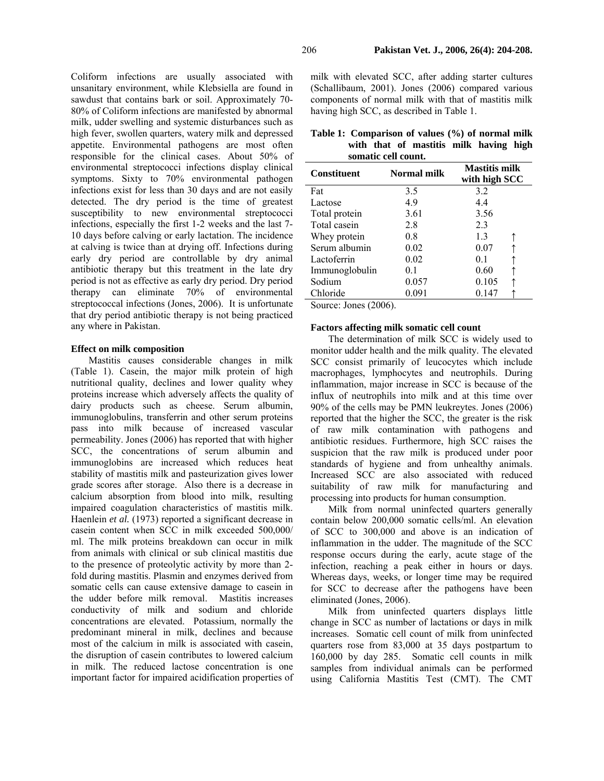Coliform infections are usually associated with unsanitary environment, while Klebsiella are found in sawdust that contains bark or soil. Approximately 70- 80% of Coliform infections are manifested by abnormal milk, udder swelling and systemic disturbances such as high fever, swollen quarters, watery milk and depressed appetite. Environmental pathogens are most often responsible for the clinical cases. About 50% of environmental streptococci infections display clinical symptoms. Sixty to 70% environmental pathogen infections exist for less than 30 days and are not easily detected. The dry period is the time of greatest susceptibility to new environmental streptococci infections, especially the first 1-2 weeks and the last 7- 10 days before calving or early lactation. The incidence at calving is twice than at drying off. Infections during early dry period are controllable by dry animal antibiotic therapy but this treatment in the late dry period is not as effective as early dry period. Dry period therapy can eliminate 70% of environmental streptococcal infections (Jones, 2006). It is unfortunate that dry period antibiotic therapy is not being practiced any where in Pakistan.

## **Effect on milk composition**

Mastitis causes considerable changes in milk (Table 1). Casein, the major milk protein of high nutritional quality, declines and lower quality whey proteins increase which adversely affects the quality of dairy products such as cheese. Serum albumin, immunoglobulins, transferrin and other serum proteins pass into milk because of increased vascular permeability. Jones (2006) has reported that with higher SCC, the concentrations of serum albumin and immunoglobins are increased which reduces heat stability of mastitis milk and pasteurization gives lower grade scores after storage. Also there is a decrease in calcium absorption from blood into milk, resulting impaired coagulation characteristics of mastitis milk. Haenlein *et al.* (1973) reported a significant decrease in casein content when SCC in milk exceeded 500,000/ ml. The milk proteins breakdown can occur in milk from animals with clinical or sub clinical mastitis due to the presence of proteolytic activity by more than 2 fold during mastitis. Plasmin and enzymes derived from somatic cells can cause extensive damage to casein in the udder before milk removal. Mastitis increases conductivity of milk and sodium and chloride concentrations are elevated. Potassium, normally the predominant mineral in milk, declines and because most of the calcium in milk is associated with casein, the disruption of casein contributes to lowered calcium in milk. The reduced lactose concentration is one important factor for impaired acidification properties of milk with elevated SCC, after adding starter cultures (Schallibaum, 2001). Jones (2006) compared various components of normal milk with that of mastitis milk having high SCC, as described in Table 1.

|                     |  |  | Table 1: Comparison of values (%) of normal milk |  |  |  |
|---------------------|--|--|--------------------------------------------------|--|--|--|
|                     |  |  | with that of mastitis milk having high           |  |  |  |
| somatic cell count. |  |  |                                                  |  |  |  |

| <b>Constituent</b> | Normal milk | <b>Mastitis milk</b><br>with high SCC |  |  |
|--------------------|-------------|---------------------------------------|--|--|
| Fat                | 3.5         | 3.2                                   |  |  |
| Lactose            | 4.9         | 4.4                                   |  |  |
| Total protein      | 3.61        | 3.56                                  |  |  |
| Total casein       | 2.8         | 2.3                                   |  |  |
| Whey protein       | 0.8         | 1.3                                   |  |  |
| Serum albumin      | 0.02        | 0.07                                  |  |  |
| Lactoferrin        | 0.02        | 0 <sub>1</sub>                        |  |  |
| Immunoglobulin     | 0.1         | 0.60                                  |  |  |
| Sodium             | 0.057       | 0.105                                 |  |  |
| Chloride           | 0.091       | 0.147                                 |  |  |

Source: Jones (2006).

## **Factors affecting milk somatic cell count**

The determination of milk SCC is widely used to monitor udder health and the milk quality. The elevated SCC consist primarily of leucocytes which include macrophages, lymphocytes and neutrophils. During inflammation, major increase in SCC is because of the influx of neutrophils into milk and at this time over 90% of the cells may be PMN leukreytes. Jones (2006) reported that the higher the SCC, the greater is the risk of raw milk contamination with pathogens and antibiotic residues. Furthermore, high SCC raises the suspicion that the raw milk is produced under poor standards of hygiene and from unhealthy animals. Increased SCC are also associated with reduced suitability of raw milk for manufacturing and processing into products for human consumption.

Milk from normal uninfected quarters generally contain below 200,000 somatic cells/ml. An elevation of SCC to 300,000 and above is an indication of inflammation in the udder. The magnitude of the SCC response occurs during the early, acute stage of the infection, reaching a peak either in hours or days. Whereas days, weeks, or longer time may be required for SCC to decrease after the pathogens have been eliminated (Jones, 2006).

Milk from uninfected quarters displays little change in SCC as number of lactations or days in milk increases. Somatic cell count of milk from uninfected quarters rose from 83,000 at 35 days postpartum to 160,000 by day 285. Somatic cell counts in milk samples from individual animals can be performed using California Mastitis Test (CMT). The CMT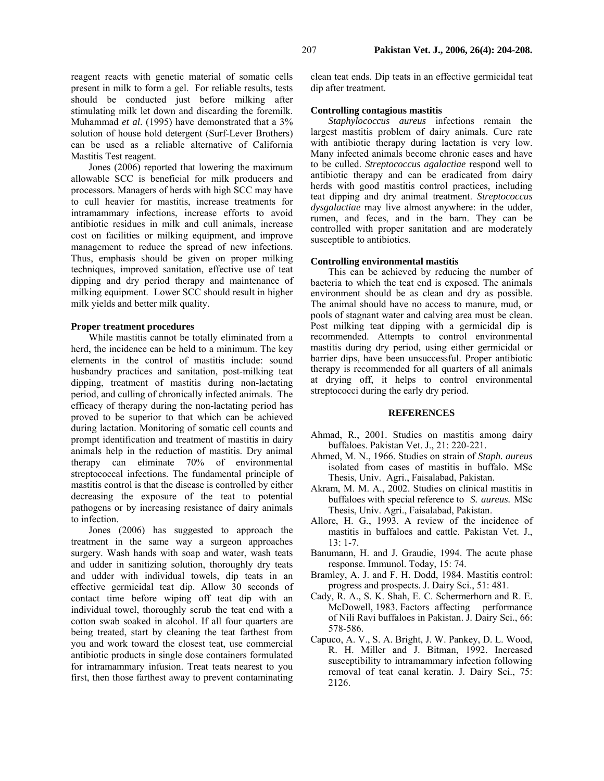reagent reacts with genetic material of somatic cells present in milk to form a gel. For reliable results, tests should be conducted just before milking after stimulating milk let down and discarding the foremilk. Muhammad *et al*. (1995) have demonstrated that a 3% solution of house hold detergent (Surf-Lever Brothers) can be used as a reliable alternative of California Mastitis Test reagent.

Jones (2006) reported that lowering the maximum allowable SCC is beneficial for milk producers and processors. Managers of herds with high SCC may have to cull heavier for mastitis, increase treatments for intramammary infections, increase efforts to avoid antibiotic residues in milk and cull animals, increase cost on facilities or milking equipment, and improve management to reduce the spread of new infections. Thus, emphasis should be given on proper milking techniques, improved sanitation, effective use of teat dipping and dry period therapy and maintenance of milking equipment. Lower SCC should result in higher milk yields and better milk quality.

#### **Proper treatment procedures**

While mastitis cannot be totally eliminated from a herd, the incidence can be held to a minimum. The key elements in the control of mastitis include: sound husbandry practices and sanitation, post-milking teat dipping, treatment of mastitis during non-lactating period, and culling of chronically infected animals. The efficacy of therapy during the non-lactating period has proved to be superior to that which can be achieved during lactation. Monitoring of somatic cell counts and prompt identification and treatment of mastitis in dairy animals help in the reduction of mastitis. Dry animal therapy can eliminate 70% of environmental streptococcal infections. The fundamental principle of mastitis control is that the disease is controlled by either decreasing the exposure of the teat to potential pathogens or by increasing resistance of dairy animals to infection.

Jones (2006) has suggested to approach the treatment in the same way a surgeon approaches surgery. Wash hands with soap and water, wash teats and udder in sanitizing solution, thoroughly dry teats and udder with individual towels, dip teats in an effective germicidal teat dip. Allow 30 seconds of contact time before wiping off teat dip with an individual towel, thoroughly scrub the teat end with a cotton swab soaked in alcohol. If all four quarters are being treated, start by cleaning the teat farthest from you and work toward the closest teat, use commercial antibiotic products in single dose containers formulated for intramammary infusion. Treat teats nearest to you first, then those farthest away to prevent contaminating

clean teat ends. Dip teats in an effective germicidal teat dip after treatment.

#### **Controlling contagious mastitis**

*Staphylococcus aureus* infections remain the largest mastitis problem of dairy animals. Cure rate with antibiotic therapy during lactation is very low. Many infected animals become chronic eases and have to be culled. *Streptococcus agalactiae* respond well to antibiotic therapy and can be eradicated from dairy herds with good mastitis control practices, including teat dipping and dry animal treatment. *Streptococcus dysgalactiae* may live almost anywhere: in the udder, rumen, and feces, and in the barn. They can be controlled with proper sanitation and are moderately susceptible to antibiotics.

#### **Controlling environmental mastitis**

This can be achieved by reducing the number of bacteria to which the teat end is exposed. The animals environment should be as clean and dry as possible. The animal should have no access to manure, mud, or pools of stagnant water and calving area must be clean. Post milking teat dipping with a germicidal dip is recommended. Attempts to control environmental mastitis during dry period, using either germicidal or barrier dips, have been unsuccessful. Proper antibiotic therapy is recommended for all quarters of all animals at drying off, it helps to control environmental streptococci during the early dry period.

# **REFERENCES**

- Ahmad, R., 2001. Studies on mastitis among dairy buffaloes. Pakistan Vet. J., 21: 220-221.
- Ahmed, M. N., 1966. Studies on strain of *Staph. aureus*  isolated from cases of mastitis in buffalo. MSc Thesis, Univ. Agri., Faisalabad, Pakistan.
- Akram, M. M. A., 2002. Studies on clinical mastitis in buffaloes with special reference to *S. aureus.* MSc Thesis, Univ. Agri., Faisalabad, Pakistan.
- Allore, H. G., 1993. A review of the incidence of mastitis in buffaloes and cattle. Pakistan Vet. J., 13: 1-7.
- Banumann, H. and J. Graudie, 1994. The acute phase response. Immunol. Today, 15: 74.
- Bramley, A. J. and F. H. Dodd, 1984. Mastitis control: progress and prospects. J. Dairy Sci., 51: 481.
- Cady, R. A., S. K. Shah, E. C. Schermerhorn and R. E. McDowell, 1983. Factors affecting performance of Nili Ravi buffaloes in Pakistan. J. Dairy Sci., 66: 578-586.
- Capuco, A. V., S. A. Bright, J. W. Pankey, D. L. Wood, R. H. Miller and J. Bitman, 1992. Increased susceptibility to intramammary infection following removal of teat canal keratin. J. Dairy Sci., 75: 2126.